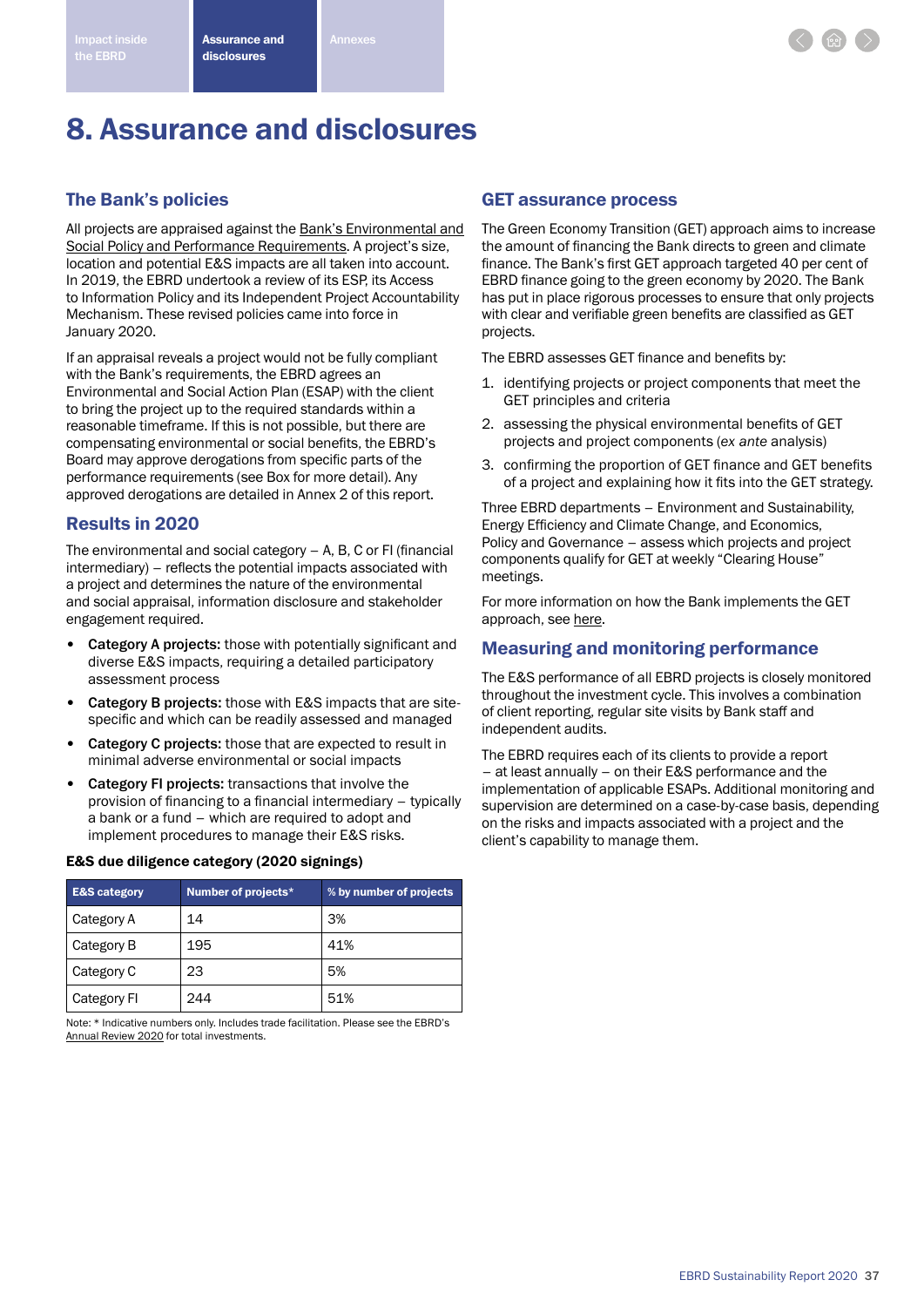# 8. Assurance and disclosures

# The Bank's policies

All projects are appraised against the [Bank's Environmental and](http://www.ebrd.com/who-we-are/our-values/environmental-and-social-policy/performance-requirements.html) [Social Policy and Performance Requirements](http://www.ebrd.com/who-we-are/our-values/environmental-and-social-policy/performance-requirements.html). A project's size, location and potential E&S impacts are all taken into account. In 2019, the EBRD undertook a review of its ESP, its Access to Information Policy and its Independent Project Accountability Mechanism. These revised policies came into force in January 2020.

If an appraisal reveals a project would not be fully compliant with the Bank's requirements, the EBRD agrees an Environmental and Social Action Plan (ESAP) with the client to bring the project up to the required standards within a reasonable timeframe. If this is not possible, but there are compensating environmental or social benefits, the EBRD's Board may approve derogations from specific parts of the performance requirements (see Box for more detail). Any approved derogations are detailed in Annex 2 of this report.

# Results in 2020

The environmental and social category – A, B, C or FI (financial intermediary) – reflects the potential impacts associated with a project and determines the nature of the environmental and social appraisal, information disclosure and stakeholder engagement required.

- Category A projects: those with potentially significant and diverse E&S impacts, requiring a detailed participatory assessment process
- Category B projects: those with E&S impacts that are sitespecific and which can be readily assessed and managed
- Category C projects: those that are expected to result in minimal adverse environmental or social impacts
- Category FI projects: transactions that involve the provision of financing to a financial intermediary – typically a bank or a fund – which are required to adopt and implement procedures to manage their E&S risks.

#### E&S due diligence category (2020 signings)

| <b>E&amp;S category</b> | Number of projects* | % by number of projects |
|-------------------------|---------------------|-------------------------|
| Category A              | 14                  | 3%                      |
| Category B              | 195                 | 41%                     |
| Category C              | 23                  | 5%                      |
| Category FI             | 244                 | 51%                     |

Note: \* Indicative numbers only. Includes trade facilitation. Please see the EBRD's [Annual Review 2020](https://2020.ar-ebrd.com/) for total investments.

# GET assurance process

The Green Economy Transition (GET) approach aims to increase the amount of financing the Bank directs to green and climate finance. The Bank's first GET approach targeted 40 per cent of EBRD finance going to the green economy by 2020. The Bank has put in place rigorous processes to ensure that only projects with clear and verifiable green benefits are classified as GET projects.

The EBRD assesses GET finance and benefits by:

- 1. identifying projects or project components that meet the GET principles and criteria
- 2. assessing the physical environmental benefits of GET projects and project components (*ex ante* analysis)
- 3. confirming the proportion of GET finance and GET benefits of a project and explaining how it fits into the GET strategy.

Three EBRD departments – Environment and Sustainability, Energy Efficiency and Climate Change, and Economics, Policy and Governance – assess which projects and project components qualify for GET at weekly "Clearing House" meetings.

For more information on how the Bank implements the GET approach, see [here.](https://www.ebrd.com/what-we-do/get.html)

# Measuring and monitoring performance

The E&S performance of all EBRD projects is closely monitored throughout the investment cycle. This involves a combination of client reporting, regular site visits by Bank staff and independent audits.

The EBRD requires each of its clients to provide a report – at least annually – on their E&S performance and the implementation of applicable ESAPs. Additional monitoring and supervision are determined on a case-by-case basis, depending on the risks and impacts associated with a project and the client's capability to manage them.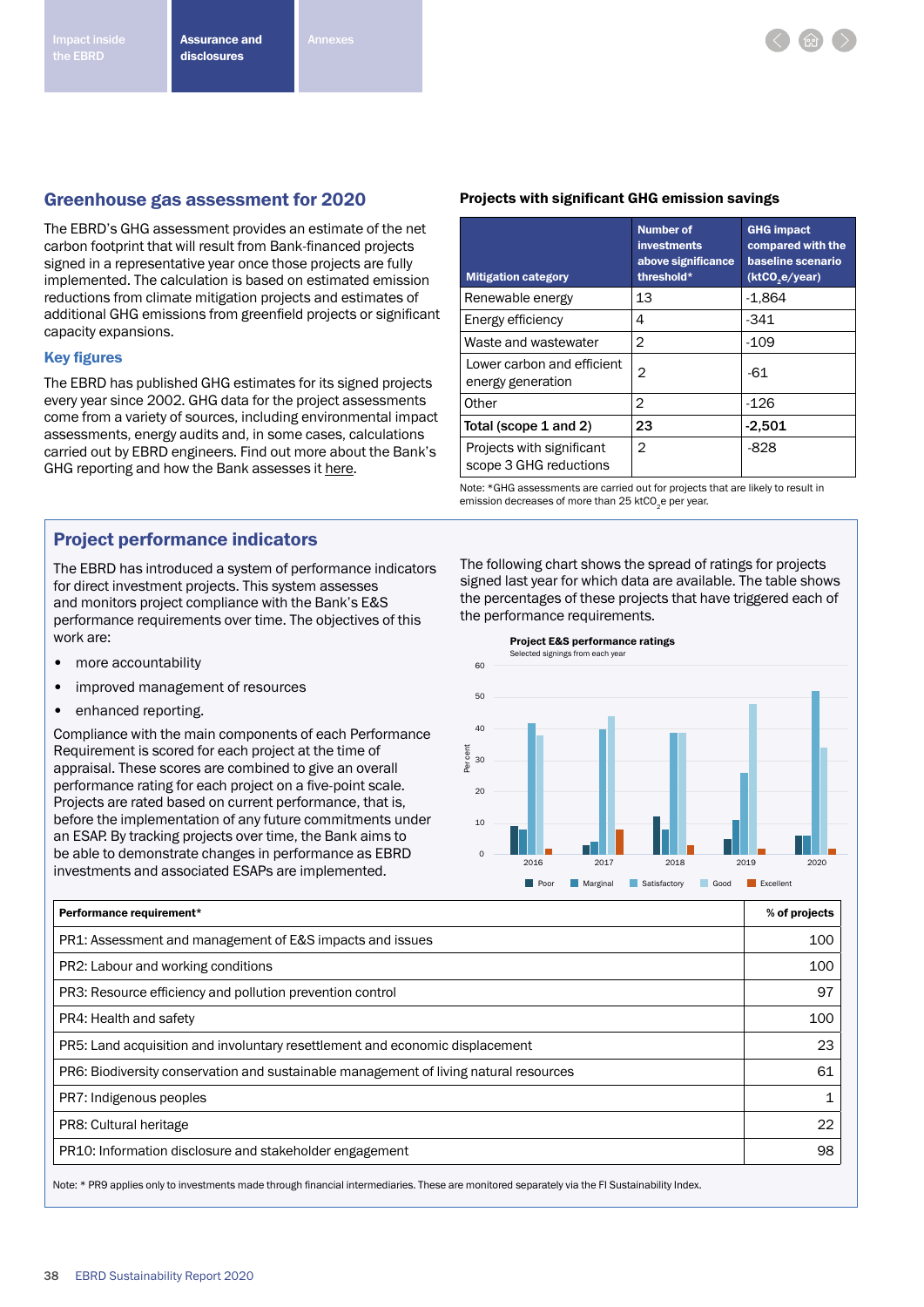

# Greenhouse gas assessment for 2020

The EBRD's GHG assessment provides an estimate of the net carbon footprint that will result from Bank-financed projects signed in a representative year once those projects are fully implemented. The calculation is based on estimated emission reductions from climate mitigation projects and estimates of additional GHG emissions from greenfield projects or significant capacity expansions.

#### Key figures

The EBRD has published GHG estimates for its signed projects every year since 2002. GHG data for the project assessments come from a variety of sources, including environmental impact assessments, energy audits and, in some cases, calculations carried out by EBRD engineers. Find out more about the Bank's GHG reporting and how the Bank assesses it [here.](http://www.ebrd.com/cs/Satellite?c=Content&cid=1395258435436&d=&pagename=EBRD%2FContent%2FDownloadDocument)

# Project performance indicators

The EBRD has introduced a system of performance indicators for direct investment projects. This system assesses and monitors project compliance with the Bank's E&S performance requirements over time. The objectives of this work are:

- more accountability
- improved management of resources
- enhanced reporting.

Compliance with the main components of each Performance Requirement is scored for each project at the time of appraisal. These scores are combined to give an overall performance rating for each project on a five-point scale. Projects are rated based on current performance, that is, before the implementation of any future commitments under an ESAP. By tracking projects over time, the Bank aims to be able to demonstrate changes in performance as EBRD investments and associated ESAPs are implemented.

#### Projects with significant GHG emission savings

| <b>Mitigation category</b>                          | <b>Number of</b><br><b>investments</b><br>above significance<br>threshold* | <b>GHG impact</b><br>compared with the<br>baseline scenario<br>(ktCO <sub>2</sub> e/year) |
|-----------------------------------------------------|----------------------------------------------------------------------------|-------------------------------------------------------------------------------------------|
| Renewable energy                                    | 13                                                                         | $-1,864$                                                                                  |
| Energy efficiency                                   | 4                                                                          | $-341$                                                                                    |
| Waste and wastewater                                | 2                                                                          | $-109$                                                                                    |
| Lower carbon and efficient<br>energy generation     | 2                                                                          | -61                                                                                       |
| Other                                               | 2                                                                          | $-126$                                                                                    |
| Total (scope 1 and 2)                               | 23                                                                         | $-2,501$                                                                                  |
| Projects with significant<br>scope 3 GHG reductions | 2                                                                          | -828                                                                                      |

Note: \*GHG assessments are carried out for projects that are likely to result in emission decreases of more than 25 ktCO<sub>2</sub>e per year.

The following chart shows the spread of ratings for projects signed last year for which data are available. The table shows the percentages of these projects that have triggered each of the performance requirements.



| Performance requirement*                                                              |    |
|---------------------------------------------------------------------------------------|----|
| PR1: Assessment and management of E&S impacts and issues                              |    |
| PR2: Labour and working conditions                                                    |    |
| PR3: Resource efficiency and pollution prevention control                             |    |
| PR4: Health and safety                                                                |    |
| PR5: Land acquisition and involuntary resettlement and economic displacement          |    |
| PR6: Biodiversity conservation and sustainable management of living natural resources |    |
| PR7: Indigenous peoples                                                               |    |
| PR8: Cultural heritage                                                                | 22 |
| PR10: Information disclosure and stakeholder engagement                               |    |

Note: \* PR9 applies only to investments made through financial intermediaries. These are monitored separately via the FI Sustainability Index.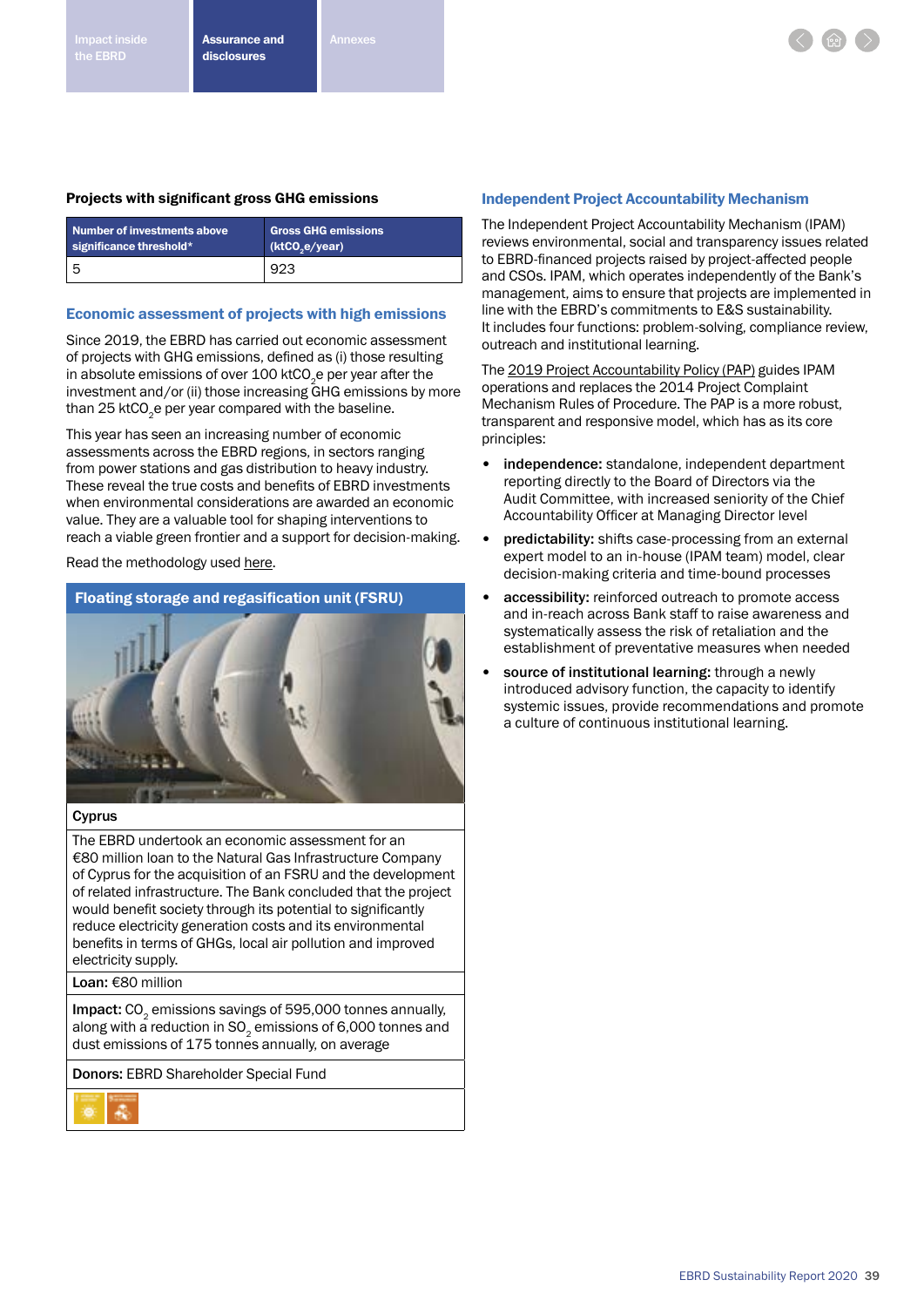## Projects with significant gross GHG emissions

| Number of investments above | <b>Gross GHG emissions</b> |
|-----------------------------|----------------------------|
| significance threshold $*$  | (ktCO,e/year)              |
|                             | 923                        |

### Economic assessment of projects with high emissions

Since 2019, the EBRD has carried out economic assessment of projects with GHG emissions, defined as (i) those resulting in absolute emissions of over 100 ktCO<sub>2</sub>e per year after the investment and/or (ii) those increasing GHG emissions by more than 25 ktCO<sub>2</sub>e per year compared with the baseline.

This year has seen an increasing number of economic assessments across the EBRD regions, in sectors ranging from power stations and gas distribution to heavy industry. These reveal the true costs and benefits of EBRD investments when environmental considerations are awarded an economic value. They are a valuable tool for shaping interventions to reach a viable green frontier and a support for decision-making.

Read the methodology used [here](https://www.ebrd.com/news/publications/institutional-documents/methodology-for-the-economic-assessment-of-ebrd-projects-with-high-greenhouse-gasemissions.html).

# Floating storage and regasification unit (FSRU)



## Cyprus

The EBRD undertook an economic assessment for an €80 million loan to the Natural Gas Infrastructure Company of Cyprus for the acquisition of an FSRU and the development of related infrastructure. The Bank concluded that the project would benefit society through its potential to significantly reduce electricity generation costs and its environmental benefits in terms of GHGs, local air pollution and improved electricity supply.

Loan: €80 million

Impact: CO<sub>2</sub> emissions savings of 595,000 tonnes annually, along with a reduction in  $SO<sub>2</sub>$  emissions of 6,000 tonnes and dust emissions of 175 tonnes annually, on average

Donors: EBRD Shareholder Special Fund



### Independent Project Accountability Mechanism

The Independent Project Accountability Mechanism (IPAM) reviews environmental, social and transparency issues related to EBRD-financed projects raised by project-affected people and CSOs. IPAM, which operates independently of the Bank's management, aims to ensure that projects are implemented in line with the EBRD's commitments to E&S sustainability. It includes four functions: problem-solving, compliance review, outreach and institutional learning.

The [2019 Project Accountability Policy \(PAP\)](https://www.ebrd.com/project-finance/independent-project-accountability-mechanism/ipam-policies.html) guides IPAM operations and replaces the 2014 Project Complaint Mechanism Rules of Procedure. The PAP is a more robust, transparent and responsive model, which has as its core principles:

- independence: standalone, independent department reporting directly to the Board of Directors via the Audit Committee, with increased seniority of the Chief Accountability Officer at Managing Director level
- predictability: shifts case-processing from an external expert model to an in-house (IPAM team) model, clear decision-making criteria and time-bound processes
- accessibility: reinforced outreach to promote access and in-reach across Bank staff to raise awareness and systematically assess the risk of retaliation and the establishment of preventative measures when needed
- source of institutional learning: through a newly introduced advisory function, the capacity to identify systemic issues, provide recommendations and promote a culture of continuous institutional learning.